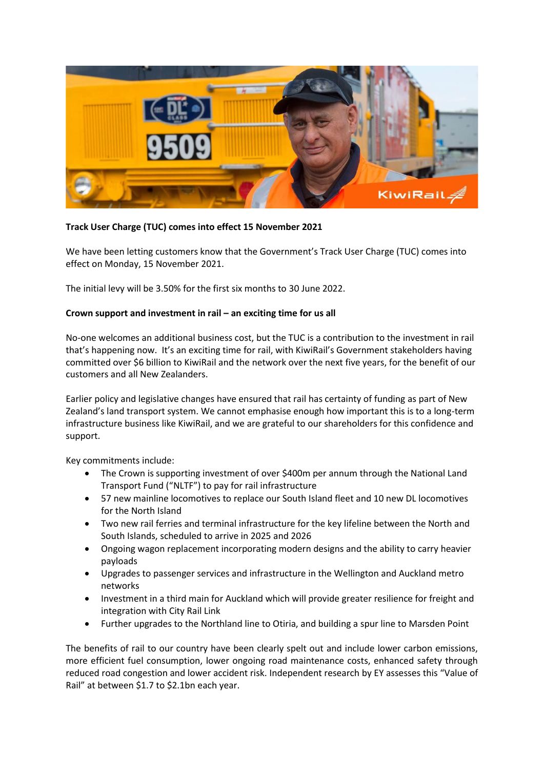

## **Track User Charge (TUC) comes into effect 15 November 2021**

We have been letting customers know that the Government's Track User Charge (TUC) comes into effect on Monday, 15 November 2021.

The initial levy will be 3.50% for the first six months to 30 June 2022.

## **Crown support and investment in rail – an exciting time for us all**

No-one welcomes an additional business cost, but the TUC is a contribution to the investment in rail that's happening now. It's an exciting time for rail, with KiwiRail's Government stakeholders having committed over \$6 billion to KiwiRail and the network over the next five years, for the benefit of our customers and all New Zealanders.

Earlier policy and legislative changes have ensured that rail has certainty of funding as part of New Zealand's land transport system. We cannot emphasise enough how important this is to a long-term infrastructure business like KiwiRail, and we are grateful to our shareholders for this confidence and support.

Key commitments include:

- The Crown is supporting investment of over \$400m per annum through the National Land Transport Fund ("NLTF") to pay for rail infrastructure
- 57 new mainline locomotives to replace our South Island fleet and 10 new DL locomotives for the North Island
- Two new rail ferries and terminal infrastructure for the key lifeline between the North and South Islands, scheduled to arrive in 2025 and 2026
- Ongoing wagon replacement incorporating modern designs and the ability to carry heavier payloads
- Upgrades to passenger services and infrastructure in the Wellington and Auckland metro networks
- Investment in a third main for Auckland which will provide greater resilience for freight and integration with City Rail Link
- Further upgrades to the Northland line to Otiria, and building a spur line to Marsden Point

The benefits of rail to our country have been clearly spelt out and include lower carbon emissions, more efficient fuel consumption, lower ongoing road maintenance costs, enhanced safety through reduced road congestion and lower accident risk. Independent research by EY assesses this "Value of Rail" at between \$1.7 to \$2.1bn each year.